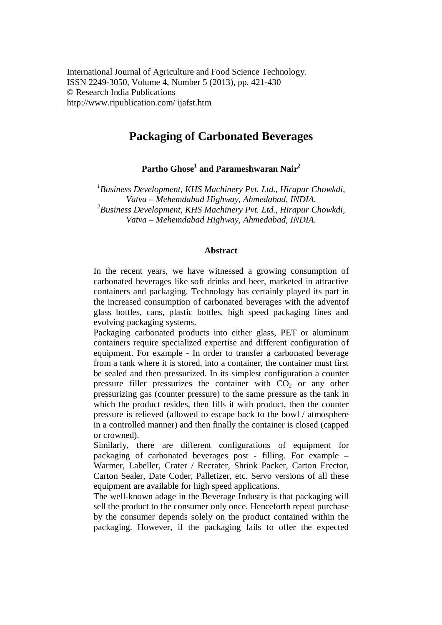# **Packaging of Carbonated Beverages**

**Partho Ghose<sup>1</sup> and Parameshwaran Nair<sup>2</sup>**

*1 Business Development, KHS Machinery Pvt. Ltd., Hirapur Chowkdi, Vatva – Mehemdabad Highway, Ahmedabad, INDIA. 2 Business Development, KHS Machinery Pvt. Ltd., Hirapur Chowkdi, Vatva – Mehemdabad Highway, Ahmedabad, INDIA.*

#### **Abstract**

In the recent years, we have witnessed a growing consumption of carbonated beverages like soft drinks and beer, marketed in attractive containers and packaging. Technology has certainly played its part in the increased consumption of carbonated beverages with the adventof glass bottles, cans, plastic bottles, high speed packaging lines and evolving packaging systems.

Packaging carbonated products into either glass, PET or aluminum containers require specialized expertise and different configuration of equipment. For example - In order to transfer a carbonated beverage from a tank where it is stored, into a container, the container must first be sealed and then pressurized. In its simplest configuration a counter pressure filler pressurizes the container with  $CO<sub>2</sub>$  or any other pressurizing gas (counter pressure) to the same pressure as the tank in which the product resides, then fills it with product, then the counter pressure is relieved (allowed to escape back to the bowl / atmosphere in a controlled manner) and then finally the container is closed (capped or crowned).

Similarly, there are different configurations of equipment for packaging of carbonated beverages post - filling. For example – Warmer, Labeller, Crater / Recrater, Shrink Packer, Carton Erector, Carton Sealer, Date Coder, Palletizer, etc. Servo versions of all these equipment are available for high speed applications.

The well-known adage in the Beverage Industry is that packaging will sell the product to the consumer only once. Henceforth repeat purchase by the consumer depends solely on the product contained within the packaging. However, if the packaging fails to offer the expected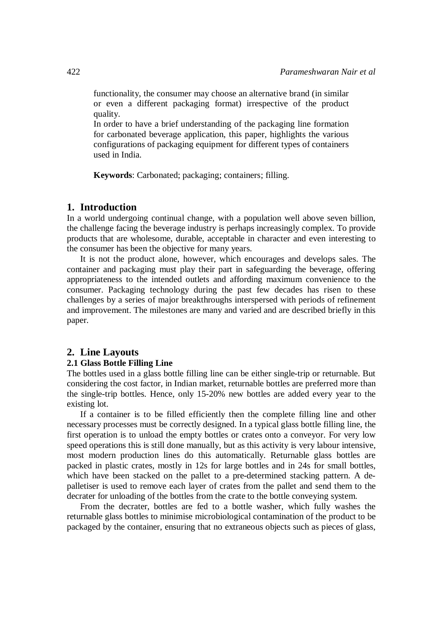functionality, the consumer may choose an alternative brand (in similar or even a different packaging format) irrespective of the product quality.

In order to have a brief understanding of the packaging line formation for carbonated beverage application, this paper, highlights the various configurations of packaging equipment for different types of containers used in India.

**Keywords**: Carbonated; packaging; containers; filling.

# **1. Introduction**

In a world undergoing continual change, with a population well above seven billion, the challenge facing the beverage industry is perhaps increasingly complex. To provide products that are wholesome, durable, acceptable in character and even interesting to the consumer has been the objective for many years.

It is not the product alone, however, which encourages and develops sales. The container and packaging must play their part in safeguarding the beverage, offering appropriateness to the intended outlets and affording maximum convenience to the consumer. Packaging technology during the past few decades has risen to these challenges by a series of major breakthroughs interspersed with periods of refinement and improvement. The milestones are many and varied and are described briefly in this paper.

## **2. Line Layouts**

## **2.1 Glass Bottle Filling Line**

The bottles used in a glass bottle filling line can be either single-trip or returnable. But considering the cost factor, in Indian market, returnable bottles are preferred more than the single-trip bottles. Hence, only 15-20% new bottles are added every year to the existing lot.

If a container is to be filled efficiently then the complete filling line and other necessary processes must be correctly designed. In a typical glass bottle filling line, the first operation is to unload the empty bottles or crates onto a conveyor. For very low speed operations this is still done manually, but as this activity is very labour intensive, most modern production lines do this automatically. Returnable glass bottles are packed in plastic crates, mostly in 12s for large bottles and in 24s for small bottles, which have been stacked on the pallet to a pre-determined stacking pattern. A depalletiser is used to remove each layer of crates from the pallet and send them to the decrater for unloading of the bottles from the crate to the bottle conveying system.

From the decrater, bottles are fed to a bottle washer, which fully washes the returnable glass bottles to minimise microbiological contamination of the product to be packaged by the container, ensuring that no extraneous objects such as pieces of glass,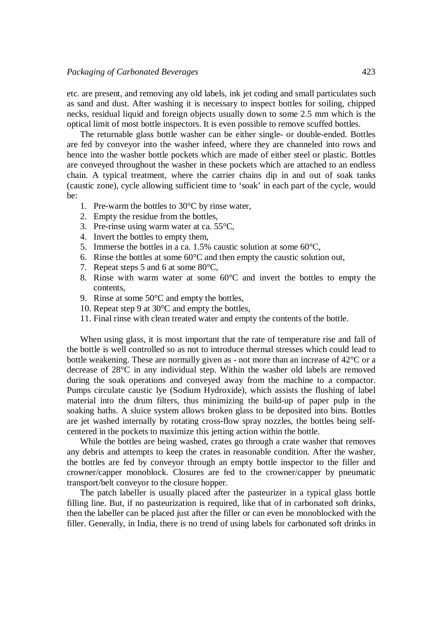etc. are present, and removing any old labels, ink jet coding and small particulates such as sand and dust. After washing it is necessary to inspect bottles for soiling, chipped necks, residual liquid and foreign objects usually down to some 2.5 mm which is the optical limit of most bottle inspectors. It is even possible to remove scuffed bottles.

The returnable glass bottle washer can be either single- or double-ended. Bottles are fed by conveyor into the washer infeed, where they are channeled into rows and hence into the washer bottle pockets which are made of either steel or plastic. Bottles are conveyed throughout the washer in these pockets which are attached to an endless chain. A typical treatment, where the carrier chains dip in and out of soak tanks (caustic zone), cycle allowing sufficient time to 'soak' in each part of the cycle, would be:

- 1. Pre-warm the bottles to 30°C by rinse water,
- 2. Empty the residue from the bottles,
- 3. Pre-rinse using warm water at ca. 55°C,
- 4. Invert the bottles to empty them,
- 5. Immerse the bottles in a ca. 1.5% caustic solution at some 60°C,
- 6. Rinse the bottles at some  $60^{\circ}$ C and then empty the caustic solution out,
- 7. Repeat steps 5 and 6 at some 80°C,
- 8. Rinse with warm water at some 60°C and invert the bottles to empty the contents,
- 9. Rinse at some 50°C and empty the bottles,
- 10. Repeat step 9 at 30°C and empty the bottles,
- 11. Final rinse with clean treated water and empty the contents of the bottle.

When using glass, it is most important that the rate of temperature rise and fall of the bottle is well controlled so as not to introduce thermal stresses which could lead to bottle weakening. These are normally given as - not more than an increase of 42°C or a decrease of 28°C in any individual step. Within the washer old labels are removed during the soak operations and conveyed away from the machine to a compactor. Pumps circulate caustic lye (Sodium Hydroxide), which assists the flushing of label material into the drum filters, thus minimizing the build-up of paper pulp in the soaking baths. A sluice system allows broken glass to be deposited into bins. Bottles are jet washed internally by rotating cross-flow spray nozzles, the bottles being selfcentered in the pockets to maximize this jetting action within the bottle.

While the bottles are being washed, crates go through a crate washer that removes any debris and attempts to keep the crates in reasonable condition. After the washer, the bottles are fed by conveyor through an empty bottle inspector to the filler and crowner/capper monoblock. Closures are fed to the crowner/capper by pneumatic transport/belt conveyor to the closure hopper.

The patch labeller is usually placed after the pasteurizer in a typical glass bottle filling line. But, if no pasteurization is required, like that of in carbonated soft drinks, then the labeller can be placed just after the filler or can even be monoblocked with the filler. Generally, in India, there is no trend of using labels for carbonated soft drinks in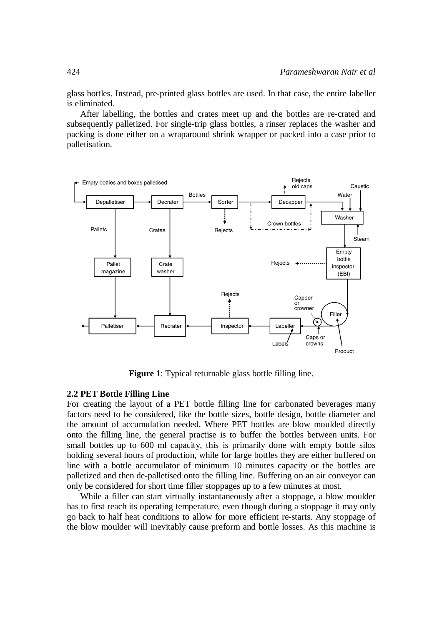glass bottles. Instead, pre-printed glass bottles are used. In that case, the entire labeller is eliminated.

After labelling, the bottles and crates meet up and the bottles are re-crated and subsequently palletized. For single-trip glass bottles, a rinser replaces the washer and packing is done either on a wraparound shrink wrapper or packed into a case prior to palletisation.



**Figure 1**: Typical returnable glass bottle filling line.

## **2.2 PET Bottle Filling Line**

For creating the layout of a PET bottle filling line for carbonated beverages many factors need to be considered, like the bottle sizes, bottle design, bottle diameter and the amount of accumulation needed. Where PET bottles are blow moulded directly onto the filling line, the general practise is to buffer the bottles between units. For small bottles up to 600 ml capacity, this is primarily done with empty bottle silos holding several hours of production, while for large bottles they are either buffered on line with a bottle accumulator of minimum 10 minutes capacity or the bottles are palletized and then de-palletised onto the filling line. Buffering on an air conveyor can only be considered for short time filler stoppages up to a few minutes at most.

While a filler can start virtually instantaneously after a stoppage, a blow moulder has to first reach its operating temperature, even though during a stoppage it may only go back to half heat conditions to allow for more efficient re-starts. Any stoppage of the blow moulder will inevitably cause preform and bottle losses. As this machine is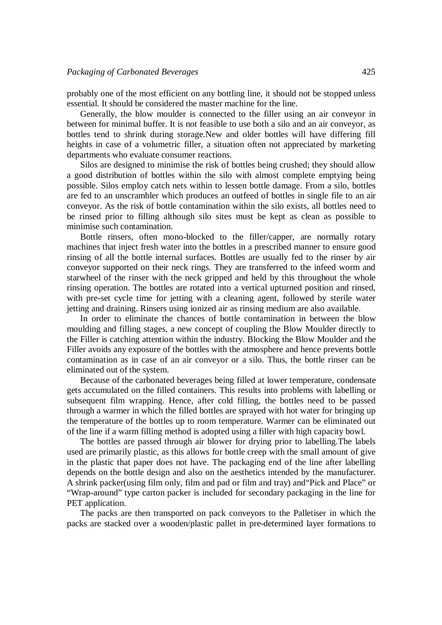probably one of the most efficient on any bottling line, it should not be stopped unless essential. It should be considered the master machine for the line.

Generally, the blow moulder is connected to the filler using an air conveyor in between for minimal buffer. It is not feasible to use both a silo and an air conveyor, as bottles tend to shrink during storage.New and older bottles will have differing fill heights in case of a volumetric filler, a situation often not appreciated by marketing departments who evaluate consumer reactions.

Silos are designed to minimise the risk of bottles being crushed; they should allow a good distribution of bottles within the silo with almost complete emptying being possible. Silos employ catch nets within to lessen bottle damage. From a silo, bottles are fed to an unscrambler which produces an outfeed of bottles in single file to an air conveyor. As the risk of bottle contamination within the silo exists, all bottles need to be rinsed prior to filling although silo sites must be kept as clean as possible to minimise such contamination.

Bottle rinsers, often mono-blocked to the filler/capper, are normally rotary machines that inject fresh water into the bottles in a prescribed manner to ensure good rinsing of all the bottle internal surfaces. Bottles are usually fed to the rinser by air conveyor supported on their neck rings. They are transferred to the infeed worm and starwheel of the rinser with the neck gripped and held by this throughout the whole rinsing operation. The bottles are rotated into a vertical upturned position and rinsed, with pre-set cycle time for jetting with a cleaning agent, followed by sterile water jetting and draining. Rinsers using ionized air as rinsing medium are also available.

In order to eliminate the chances of bottle contamination in between the blow moulding and filling stages, a new concept of coupling the Blow Moulder directly to the Filler is catching attention within the industry. Blocking the Blow Moulder and the Filler avoids any exposure of the bottles with the atmosphere and hence prevents bottle contamination as in case of an air conveyor or a silo. Thus, the bottle rinser can be eliminated out of the system.

Because of the carbonated beverages being filled at lower temperature, condensate gets accumulated on the filled containers. This results into problems with labelling or subsequent film wrapping. Hence, after cold filling, the bottles need to be passed through a warmer in which the filled bottles are sprayed with hot water for bringing up the temperature of the bottles up to room temperature. Warmer can be eliminated out of the line if a warm filling method is adopted using a filler with high capacity bowl.

The bottles are passed through air blower for drying prior to labelling.The labels used are primarily plastic, as this allows for bottle creep with the small amount of give in the plastic that paper does not have. The packaging end of the line after labelling depends on the bottle design and also on the aesthetics intended by the manufacturer. A shrink packer(using film only, film and pad or film and tray) and"Pick and Place" or "Wrap-around" type carton packer is included for secondary packaging in the line for PET application.

The packs are then transported on pack conveyors to the Palletiser in which the packs are stacked over a wooden/plastic pallet in pre-determined layer formations to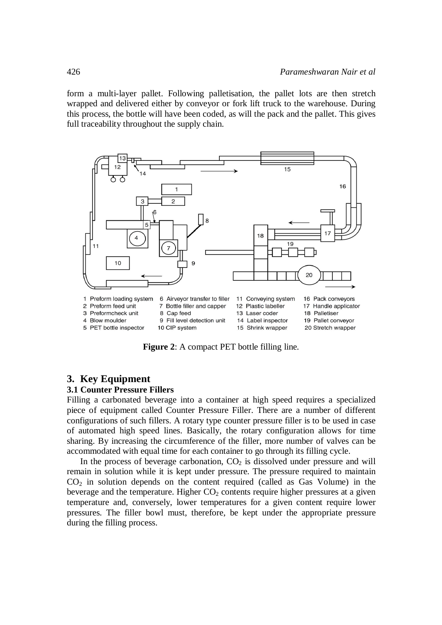form a multi-layer pallet. Following palletisation, the pallet lots are then stretch wrapped and delivered either by conveyor or fork lift truck to the warehouse. During this process, the bottle will have been coded, as will the pack and the pallet. This gives full traceability throughout the supply chain.



**Figure 2**: A compact PET bottle filling line.

# **3. Key Equipment**

## **3.1 Counter Pressure Fillers**

Filling a carbonated beverage into a container at high speed requires a specialized piece of equipment called Counter Pressure Filler. There are a number of different configurations of such fillers. A rotary type counter pressure filler is to be used in case of automated high speed lines. Basically, the rotary configuration allows for time sharing. By increasing the circumference of the filler, more number of valves can be accommodated with equal time for each container to go through its filling cycle.

In the process of beverage carbonation,  $CO<sub>2</sub>$  is dissolved under pressure and will remain in solution while it is kept under pressure. The pressure required to maintain  $CO<sub>2</sub>$  in solution depends on the content required (called as Gas Volume) in the beverage and the temperature. Higher  $CO<sub>2</sub>$  contents require higher pressures at a given temperature and, conversely, lower temperatures for a given content require lower pressures. The filler bowl must, therefore, be kept under the appropriate pressure during the filling process.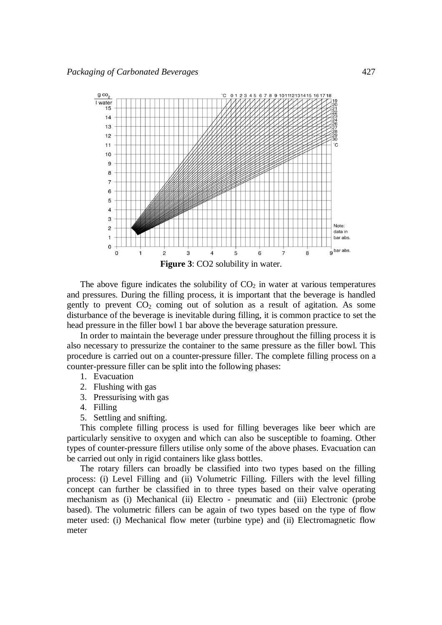

The above figure indicates the solubility of  $CO<sub>2</sub>$  in water at various temperatures and pressures. During the filling process, it is important that the beverage is handled gently to prevent  $CO<sub>2</sub>$  coming out of solution as a result of agitation. As some disturbance of the beverage is inevitable during filling, it is common practice to set the head pressure in the filler bowl 1 bar above the beverage saturation pressure.

In order to maintain the beverage under pressure throughout the filling process it is also necessary to pressurize the container to the same pressure as the filler bowl. This procedure is carried out on a counter-pressure filler. The complete filling process on a counter-pressure filler can be split into the following phases:

- 1. Evacuation
- 2. Flushing with gas
- 3. Pressurising with gas
- 4. Filling
- 5. Settling and snifting.

This complete filling process is used for filling beverages like beer which are particularly sensitive to oxygen and which can also be susceptible to foaming. Other types of counter-pressure fillers utilise only some of the above phases. Evacuation can be carried out only in rigid containers like glass bottles.

The rotary fillers can broadly be classified into two types based on the filling process: (i) Level Filling and (ii) Volumetric Filling. Fillers with the level filling concept can further be classified in to three types based on their valve operating mechanism as (i) Mechanical (ii) Electro - pneumatic and (iii) Electronic (probe based). The volumetric fillers can be again of two types based on the type of flow meter used: (i) Mechanical flow meter (turbine type) and (ii) Electromagnetic flow meter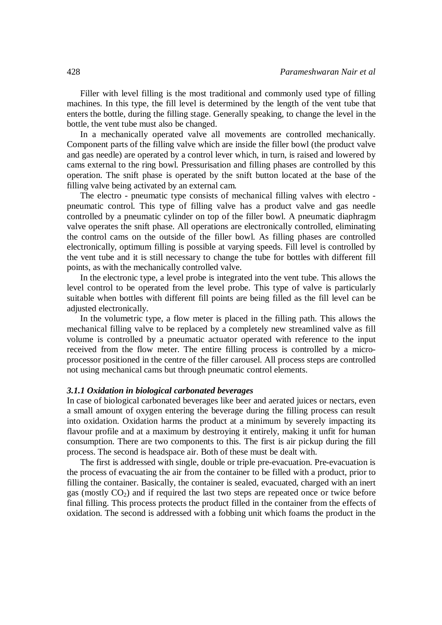Filler with level filling is the most traditional and commonly used type of filling machines. In this type, the fill level is determined by the length of the vent tube that enters the bottle, during the filling stage. Generally speaking, to change the level in the bottle, the vent tube must also be changed.

In a mechanically operated valve all movements are controlled mechanically. Component parts of the filling valve which are inside the filler bowl (the product valve and gas needle) are operated by a control lever which, in turn, is raised and lowered by cams external to the ring bowl. Pressurisation and filling phases are controlled by this operation. The snift phase is operated by the snift button located at the base of the filling valve being activated by an external cam.

The electro - pneumatic type consists of mechanical filling valves with electro pneumatic control. This type of filling valve has a product valve and gas needle controlled by a pneumatic cylinder on top of the filler bowl. A pneumatic diaphragm valve operates the snift phase. All operations are electronically controlled, eliminating the control cams on the outside of the filler bowl. As filling phases are controlled electronically, optimum filling is possible at varying speeds. Fill level is controlled by the vent tube and it is still necessary to change the tube for bottles with different fill points, as with the mechanically controlled valve.

In the electronic type, a level probe is integrated into the vent tube. This allows the level control to be operated from the level probe. This type of valve is particularly suitable when bottles with different fill points are being filled as the fill level can be adjusted electronically.

In the volumetric type, a flow meter is placed in the filling path. This allows the mechanical filling valve to be replaced by a completely new streamlined valve as fill volume is controlled by a pneumatic actuator operated with reference to the input received from the flow meter. The entire filling process is controlled by a microprocessor positioned in the centre of the filler carousel. All process steps are controlled not using mechanical cams but through pneumatic control elements.

#### *3.1.1 Oxidation in biological carbonated beverages*

In case of biological carbonated beverages like beer and aerated juices or nectars, even a small amount of oxygen entering the beverage during the filling process can result into oxidation. Oxidation harms the product at a minimum by severely impacting its flavour profile and at a maximum by destroying it entirely, making it unfit for human consumption. There are two components to this. The first is air pickup during the fill process. The second is headspace air. Both of these must be dealt with.

The first is addressed with single, double or triple pre-evacuation. Pre-evacuation is the process of evacuating the air from the container to be filled with a product, prior to filling the container. Basically, the container is sealed, evacuated, charged with an inert gas (mostly  $CO<sub>2</sub>$ ) and if required the last two steps are repeated once or twice before final filling. This process protects the product filled in the container from the effects of oxidation. The second is addressed with a fobbing unit which foams the product in the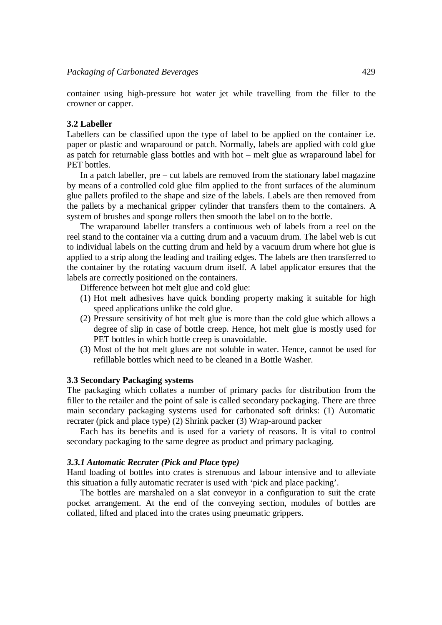container using high-pressure hot water jet while travelling from the filler to the crowner or capper.

#### **3.2 Labeller**

Labellers can be classified upon the type of label to be applied on the container i.e. paper or plastic and wraparound or patch. Normally, labels are applied with cold glue as patch for returnable glass bottles and with hot – melt glue as wraparound label for PET bottles.

In a patch labeller, pre – cut labels are removed from the stationary label magazine by means of a controlled cold glue film applied to the front surfaces of the aluminum glue pallets profiled to the shape and size of the labels. Labels are then removed from the pallets by a mechanical gripper cylinder that transfers them to the containers. A system of brushes and sponge rollers then smooth the label on to the bottle.

The wraparound labeller transfers a continuous web of labels from a reel on the reel stand to the container via a cutting drum and a vacuum drum. The label web is cut to individual labels on the cutting drum and held by a vacuum drum where hot glue is applied to a strip along the leading and trailing edges. The labels are then transferred to the container by the rotating vacuum drum itself. A label applicator ensures that the labels are correctly positioned on the containers.

Difference between hot melt glue and cold glue:

- (1) Hot melt adhesives have quick bonding property making it suitable for high speed applications unlike the cold glue.
- (2) Pressure sensitivity of hot melt glue is more than the cold glue which allows a degree of slip in case of bottle creep. Hence, hot melt glue is mostly used for PET bottles in which bottle creep is unavoidable.
- (3) Most of the hot melt glues are not soluble in water. Hence, cannot be used for refillable bottles which need to be cleaned in a Bottle Washer.

## **3.3 Secondary Packaging systems**

The packaging which collates a number of primary packs for distribution from the filler to the retailer and the point of sale is called secondary packaging. There are three main secondary packaging systems used for carbonated soft drinks: (1) Automatic recrater (pick and place type) (2) Shrink packer (3) Wrap-around packer

Each has its benefits and is used for a variety of reasons. It is vital to control secondary packaging to the same degree as product and primary packaging.

#### *3.3.1 Automatic Recrater (Pick and Place type)*

Hand loading of bottles into crates is strenuous and labour intensive and to alleviate this situation a fully automatic recrater is used with 'pick and place packing'.

The bottles are marshaled on a slat conveyor in a configuration to suit the crate pocket arrangement. At the end of the conveying section, modules of bottles are collated, lifted and placed into the crates using pneumatic grippers.